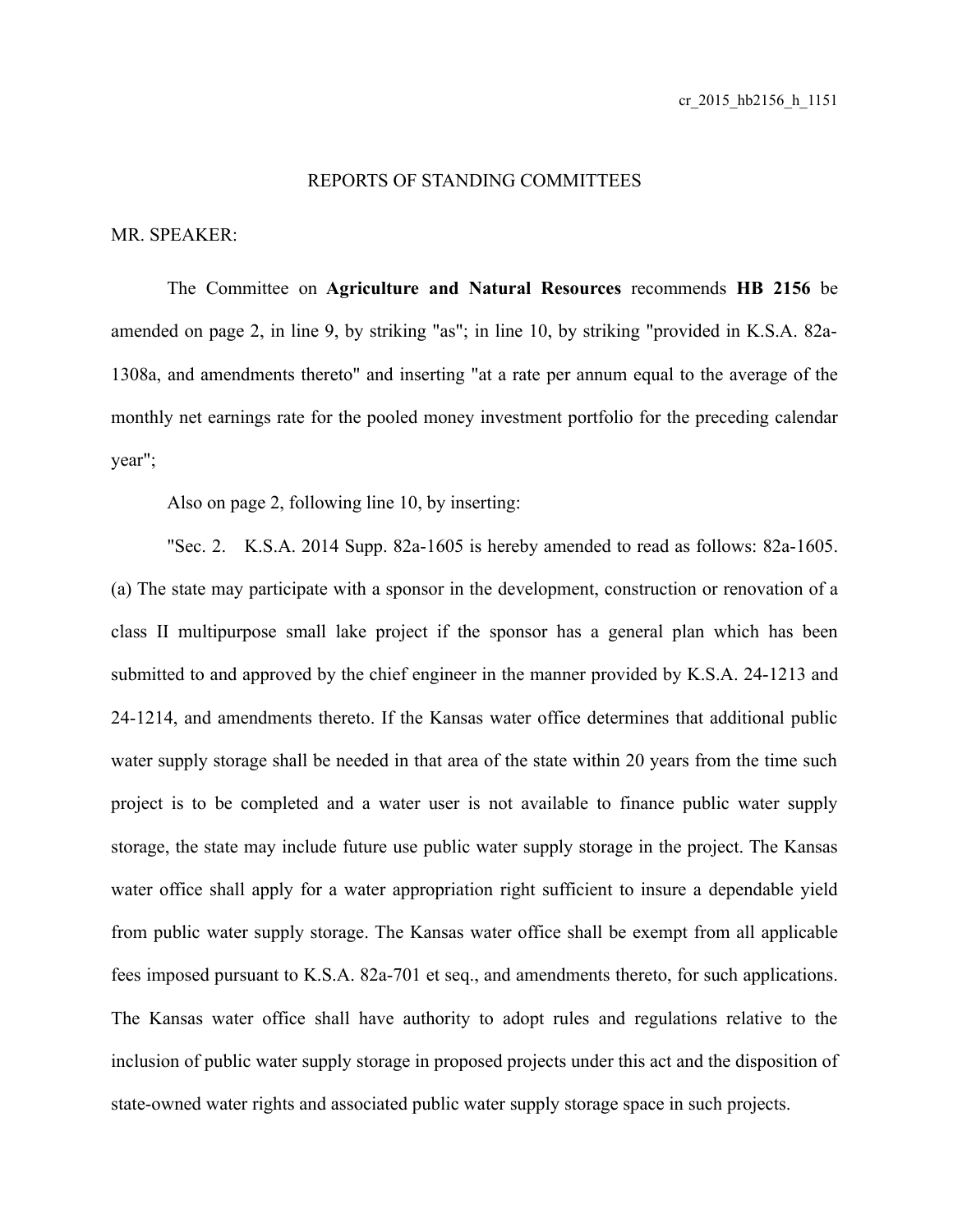## REPORTS OF STANDING COMMITTEES

## MR. SPEAKER:

The Committee on **Agriculture and Natural Resources** recommends **HB 2156** be amended on page 2, in line 9, by striking "as"; in line 10, by striking "provided in K.S.A. 82a-1308a, and amendments thereto" and inserting "at a rate per annum equal to the average of the monthly net earnings rate for the pooled money investment portfolio for the preceding calendar year";

Also on page 2, following line 10, by inserting:

"Sec. 2. K.S.A. 2014 Supp. 82a-1605 is hereby amended to read as follows: 82a-1605. (a) The state may participate with a sponsor in the development, construction or renovation of a class II multipurpose small lake project if the sponsor has a general plan which has been submitted to and approved by the chief engineer in the manner provided by K.S.A. 24-1213 and 24-1214, and amendments thereto. If the Kansas water office determines that additional public water supply storage shall be needed in that area of the state within 20 years from the time such project is to be completed and a water user is not available to finance public water supply storage, the state may include future use public water supply storage in the project. The Kansas water office shall apply for a water appropriation right sufficient to insure a dependable yield from public water supply storage. The Kansas water office shall be exempt from all applicable fees imposed pursuant to K.S.A. 82a-701 et seq., and amendments thereto, for such applications. The Kansas water office shall have authority to adopt rules and regulations relative to the inclusion of public water supply storage in proposed projects under this act and the disposition of state-owned water rights and associated public water supply storage space in such projects.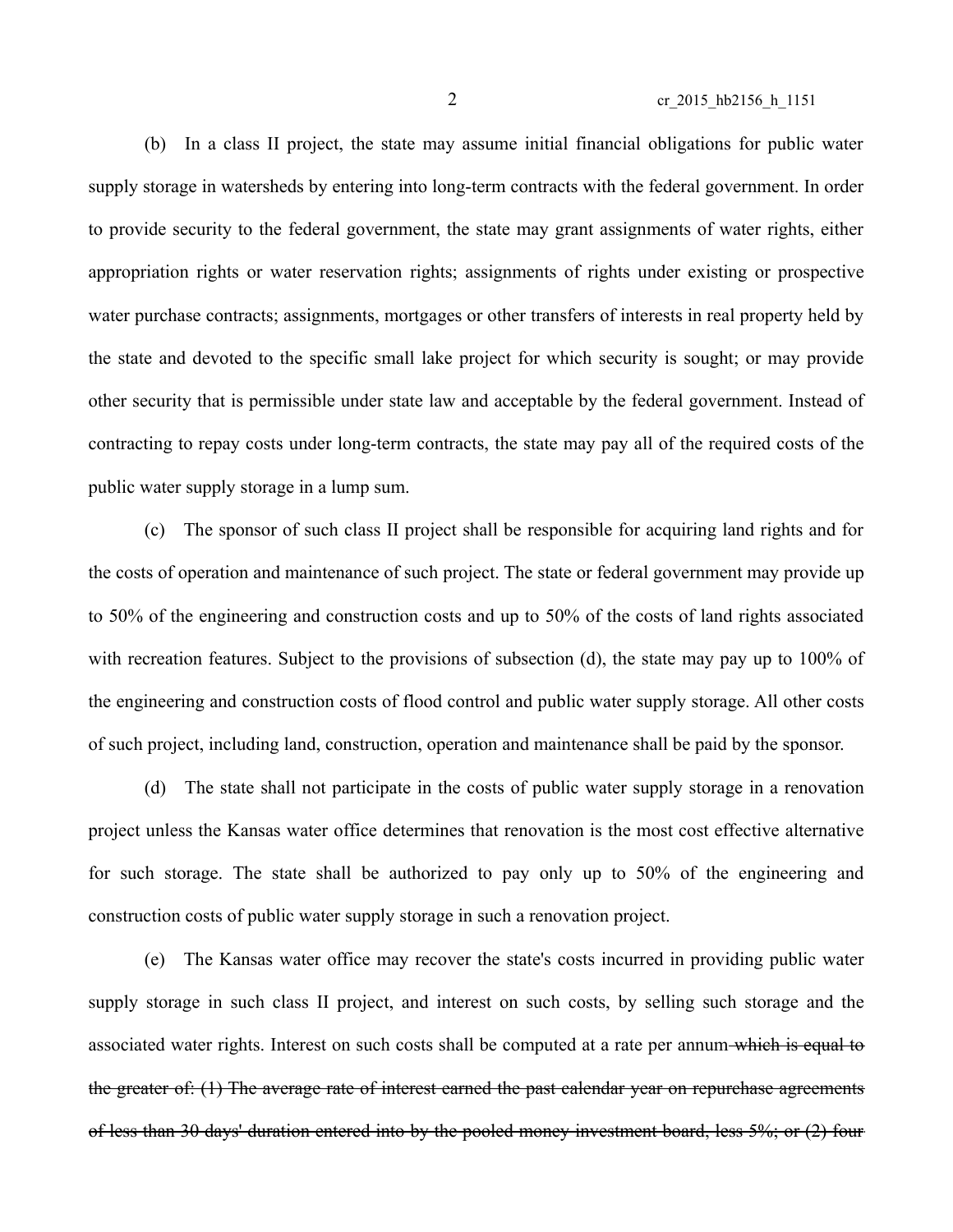2 cr\_2015\_hb2156\_h\_1151

(b) In a class II project, the state may assume initial financial obligations for public water supply storage in watersheds by entering into long-term contracts with the federal government. In order to provide security to the federal government, the state may grant assignments of water rights, either appropriation rights or water reservation rights; assignments of rights under existing or prospective water purchase contracts; assignments, mortgages or other transfers of interests in real property held by the state and devoted to the specific small lake project for which security is sought; or may provide other security that is permissible under state law and acceptable by the federal government. Instead of contracting to repay costs under long-term contracts, the state may pay all of the required costs of the public water supply storage in a lump sum.

(c) The sponsor of such class II project shall be responsible for acquiring land rights and for the costs of operation and maintenance of such project. The state or federal government may provide up to 50% of the engineering and construction costs and up to 50% of the costs of land rights associated with recreation features. Subject to the provisions of subsection (d), the state may pay up to 100% of the engineering and construction costs of flood control and public water supply storage. All other costs of such project, including land, construction, operation and maintenance shall be paid by the sponsor.

(d) The state shall not participate in the costs of public water supply storage in a renovation project unless the Kansas water office determines that renovation is the most cost effective alternative for such storage. The state shall be authorized to pay only up to 50% of the engineering and construction costs of public water supply storage in such a renovation project.

(e) The Kansas water office may recover the state's costs incurred in providing public water supply storage in such class II project, and interest on such costs, by selling such storage and the associated water rights. Interest on such costs shall be computed at a rate per annum which is equal to the greater of: (1) The average rate of interest earned the past calendar year on repurchase agreements of less than 30 days' duration entered into by the pooled money investment board, less 5%; or (2) four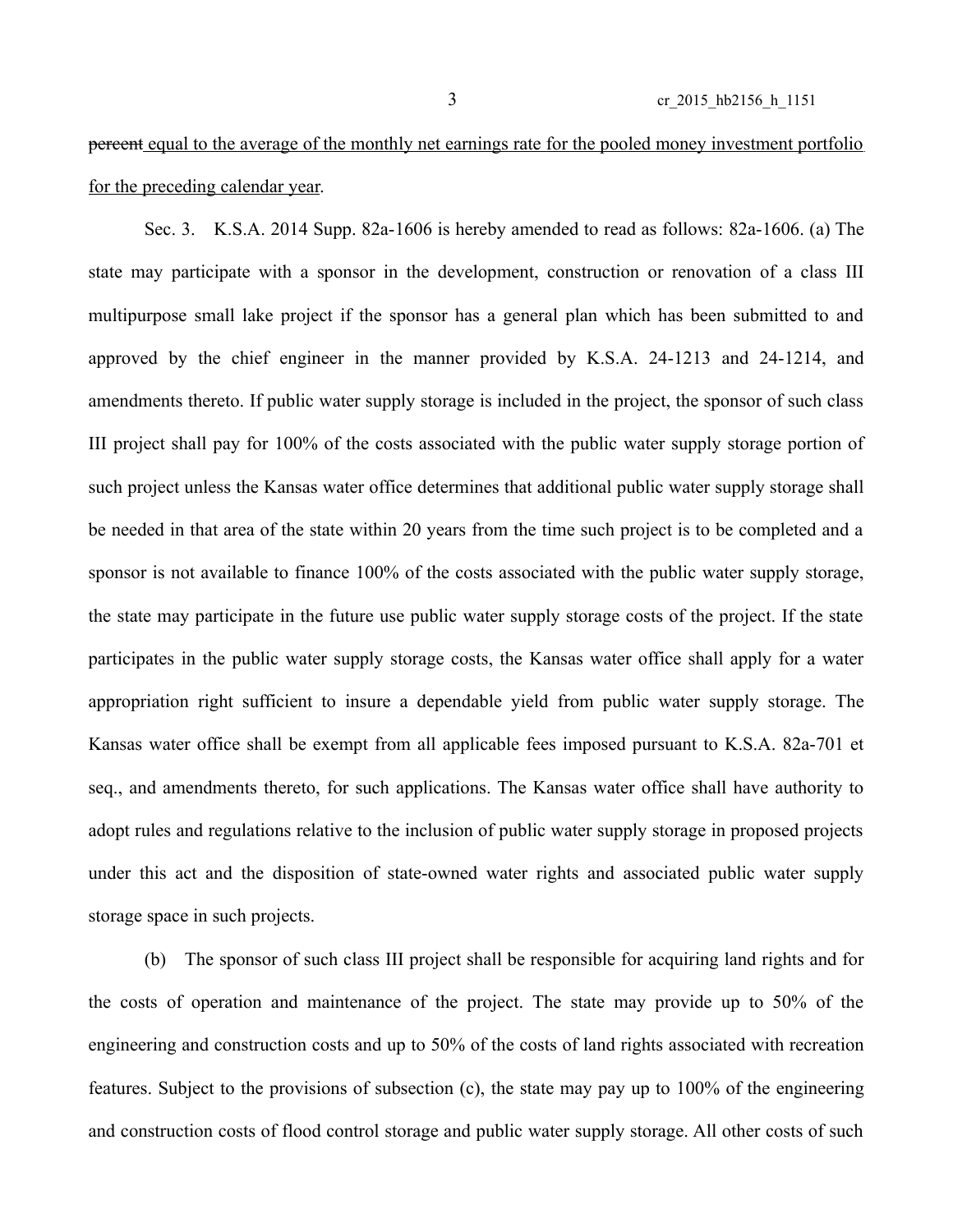## percent equal to the average of the monthly net earnings rate for the pooled money investment portfolio for the preceding calendar year.

Sec. 3. K.S.A. 2014 Supp. 82a-1606 is hereby amended to read as follows: 82a-1606. (a) The state may participate with a sponsor in the development, construction or renovation of a class III multipurpose small lake project if the sponsor has a general plan which has been submitted to and approved by the chief engineer in the manner provided by K.S.A. 24-1213 and 24-1214, and amendments thereto. If public water supply storage is included in the project, the sponsor of such class III project shall pay for 100% of the costs associated with the public water supply storage portion of such project unless the Kansas water office determines that additional public water supply storage shall be needed in that area of the state within 20 years from the time such project is to be completed and a sponsor is not available to finance 100% of the costs associated with the public water supply storage, the state may participate in the future use public water supply storage costs of the project. If the state participates in the public water supply storage costs, the Kansas water office shall apply for a water appropriation right sufficient to insure a dependable yield from public water supply storage. The Kansas water office shall be exempt from all applicable fees imposed pursuant to K.S.A. 82a-701 et seq., and amendments thereto, for such applications. The Kansas water office shall have authority to adopt rules and regulations relative to the inclusion of public water supply storage in proposed projects under this act and the disposition of state-owned water rights and associated public water supply storage space in such projects.

(b) The sponsor of such class III project shall be responsible for acquiring land rights and for the costs of operation and maintenance of the project. The state may provide up to 50% of the engineering and construction costs and up to 50% of the costs of land rights associated with recreation features. Subject to the provisions of subsection (c), the state may pay up to 100% of the engineering and construction costs of flood control storage and public water supply storage. All other costs of such